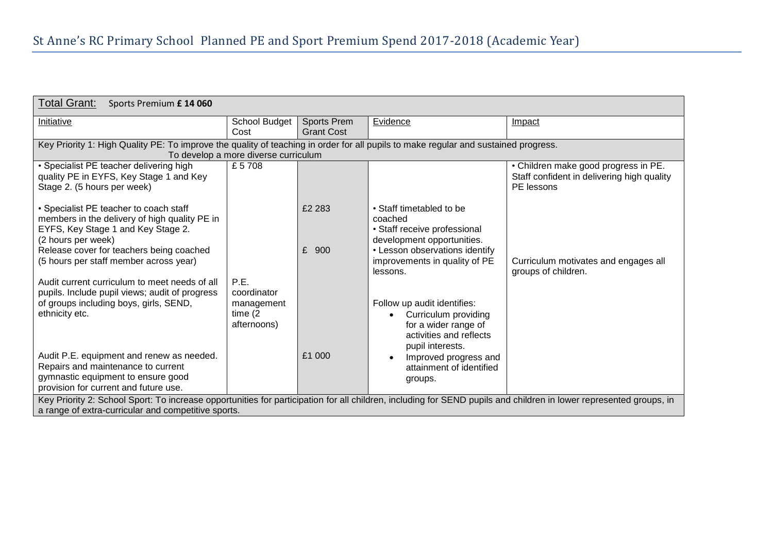| Total Grant:<br>Sports Premium £ 14 060                                                                                                                                                                                   |                                         |                                  |                                                                                                                                         |                                                                                                  |  |  |  |
|---------------------------------------------------------------------------------------------------------------------------------------------------------------------------------------------------------------------------|-----------------------------------------|----------------------------------|-----------------------------------------------------------------------------------------------------------------------------------------|--------------------------------------------------------------------------------------------------|--|--|--|
| Initiative                                                                                                                                                                                                                | School Budget<br>Cost                   | Sports Prem<br><b>Grant Cost</b> | Evidence                                                                                                                                | Impact                                                                                           |  |  |  |
| Key Priority 1: High Quality PE: To improve the quality of teaching in order for all pupils to make regular and sustained progress.<br>To develop a more diverse curriculum                                               |                                         |                                  |                                                                                                                                         |                                                                                                  |  |  |  |
| • Specialist PE teacher delivering high<br>quality PE in EYFS, Key Stage 1 and Key<br>Stage 2. (5 hours per week)                                                                                                         | £5708                                   |                                  |                                                                                                                                         | • Children make good progress in PE.<br>Staff confident in delivering high quality<br>PE lessons |  |  |  |
| • Specialist PE teacher to coach staff<br>members in the delivery of high quality PE in<br>EYFS, Key Stage 1 and Key Stage 2.<br>(2 hours per week)<br>Release cover for teachers being coached                           |                                         | £2 283<br>£<br>900               | • Staff timetabled to be<br>coached<br>• Staff receive professional<br>development opportunities.<br>• Lesson observations identify     |                                                                                                  |  |  |  |
| (5 hours per staff member across year)<br>Audit current curriculum to meet needs of all<br>pupils. Include pupil views; audit of progress                                                                                 | P.E.<br>coordinator                     |                                  | improvements in quality of PE<br>lessons.                                                                                               | Curriculum motivates and engages all<br>groups of children.                                      |  |  |  |
| of groups including boys, girls, SEND,<br>ethnicity etc.                                                                                                                                                                  | management<br>time $(2)$<br>afternoons) |                                  | Follow up audit identifies:<br>Curriculum providing<br>$\bullet$<br>for a wider range of<br>activities and reflects<br>pupil interests. |                                                                                                  |  |  |  |
| Audit P.E. equipment and renew as needed.<br>Repairs and maintenance to current<br>gymnastic equipment to ensure good<br>provision for current and future use.                                                            |                                         | £1 000                           | Improved progress and<br>attainment of identified<br>groups.                                                                            |                                                                                                  |  |  |  |
| Key Priority 2: School Sport: To increase opportunities for participation for all children, including for SEND pupils and children in lower represented groups, in<br>a range of extra-curricular and competitive sports. |                                         |                                  |                                                                                                                                         |                                                                                                  |  |  |  |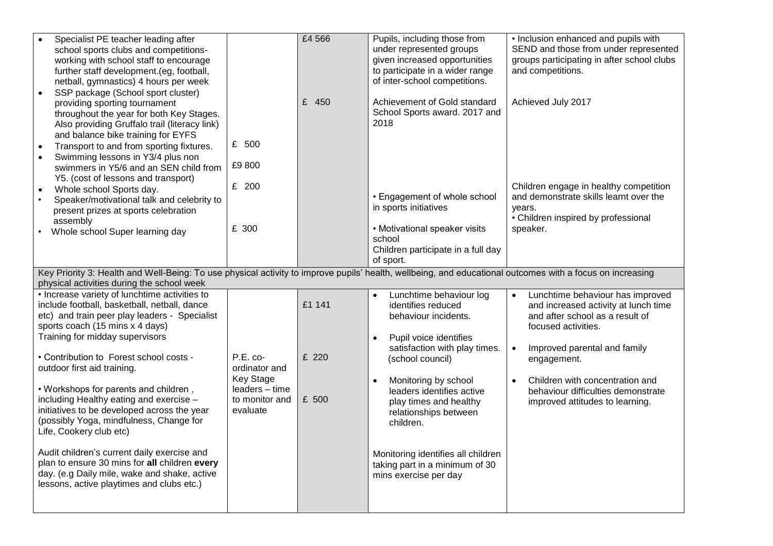| Specialist PE teacher leading after<br>school sports clubs and competitions-<br>working with school staff to encourage<br>further staff development.(eg, football,<br>netball, gymnastics) 4 hours per week<br>SSP package (School sport cluster)<br>$\bullet$                                                                                                                                                                                                                                                                                                                                                                                                                                                                                     |                                                                                                 | £4 566                   | Pupils, including those from<br>under represented groups<br>given increased opportunities<br>to participate in a wider range<br>of inter-school competitions.                                                                                                                                                                                                                                                     | • Inclusion enhanced and pupils with<br>SEND and those from under represented<br>groups participating in after school clubs<br>and competitions.                                                                                                                                                                                     |  |  |  |  |
|----------------------------------------------------------------------------------------------------------------------------------------------------------------------------------------------------------------------------------------------------------------------------------------------------------------------------------------------------------------------------------------------------------------------------------------------------------------------------------------------------------------------------------------------------------------------------------------------------------------------------------------------------------------------------------------------------------------------------------------------------|-------------------------------------------------------------------------------------------------|--------------------------|-------------------------------------------------------------------------------------------------------------------------------------------------------------------------------------------------------------------------------------------------------------------------------------------------------------------------------------------------------------------------------------------------------------------|--------------------------------------------------------------------------------------------------------------------------------------------------------------------------------------------------------------------------------------------------------------------------------------------------------------------------------------|--|--|--|--|
| providing sporting tournament<br>throughout the year for both Key Stages.<br>Also providing Gruffalo trail (literacy link)<br>and balance bike training for EYFS<br>Transport to and from sporting fixtures.<br>Swimming lessons in Y3/4 plus non<br>swimmers in Y5/6 and an SEN child from<br>Y5. (cost of lessons and transport)<br>Whole school Sports day.<br>$\bullet$<br>Speaker/motivational talk and celebrity to<br>present prizes at sports celebration<br>assembly                                                                                                                                                                                                                                                                      | £ 500<br>£9800<br>£ 200                                                                         | £ 450                    | Achievement of Gold standard<br>School Sports award. 2017 and<br>2018<br>• Engagement of whole school<br>in sports initiatives                                                                                                                                                                                                                                                                                    | Achieved July 2017<br>Children engage in healthy competition<br>and demonstrate skills learnt over the<br>years.<br>• Children inspired by professional                                                                                                                                                                              |  |  |  |  |
| Whole school Super learning day                                                                                                                                                                                                                                                                                                                                                                                                                                                                                                                                                                                                                                                                                                                    | £ 300                                                                                           |                          | • Motivational speaker visits<br>school<br>Children participate in a full day<br>of sport.                                                                                                                                                                                                                                                                                                                        | speaker.                                                                                                                                                                                                                                                                                                                             |  |  |  |  |
| Key Priority 3: Health and Well-Being: To use physical activity to improve pupils' health, wellbeing, and educational outcomes with a focus on increasing                                                                                                                                                                                                                                                                                                                                                                                                                                                                                                                                                                                          |                                                                                                 |                          |                                                                                                                                                                                                                                                                                                                                                                                                                   |                                                                                                                                                                                                                                                                                                                                      |  |  |  |  |
| physical activities during the school week<br>• Increase variety of lunchtime activities to<br>include football, basketball, netball, dance<br>etc) and train peer play leaders - Specialist<br>sports coach (15 mins x 4 days)<br>Training for midday supervisors<br>• Contribution to Forest school costs -<br>outdoor first aid training.<br>. Workshops for parents and children,<br>including Healthy eating and exercise -<br>initiatives to be developed across the year<br>(possibly Yoga, mindfulness, Change for<br>Life, Cookery club etc)<br>Audit children's current daily exercise and<br>plan to ensure 30 mins for all children every<br>day. (e.g Daily mile, wake and shake, active<br>lessons, active playtimes and clubs etc.) | $P.E. co-$<br>ordinator and<br><b>Key Stage</b><br>leaders - time<br>to monitor and<br>evaluate | £1 141<br>£ 220<br>£ 500 | Lunchtime behaviour log<br>$\bullet$<br>identifies reduced<br>behaviour incidents.<br>Pupil voice identifies<br>$\bullet$<br>satisfaction with play times.<br>(school council)<br>Monitoring by school<br>$\bullet$<br>leaders identifies active<br>play times and healthy<br>relationships between<br>children.<br>Monitoring identifies all children<br>taking part in a minimum of 30<br>mins exercise per day | Lunchtime behaviour has improved<br>$\bullet$<br>and increased activity at lunch time<br>and after school as a result of<br>focused activities.<br>Improved parental and family<br>$\bullet$<br>engagement.<br>Children with concentration and<br>$\bullet$<br>behaviour difficulties demonstrate<br>improved attitudes to learning. |  |  |  |  |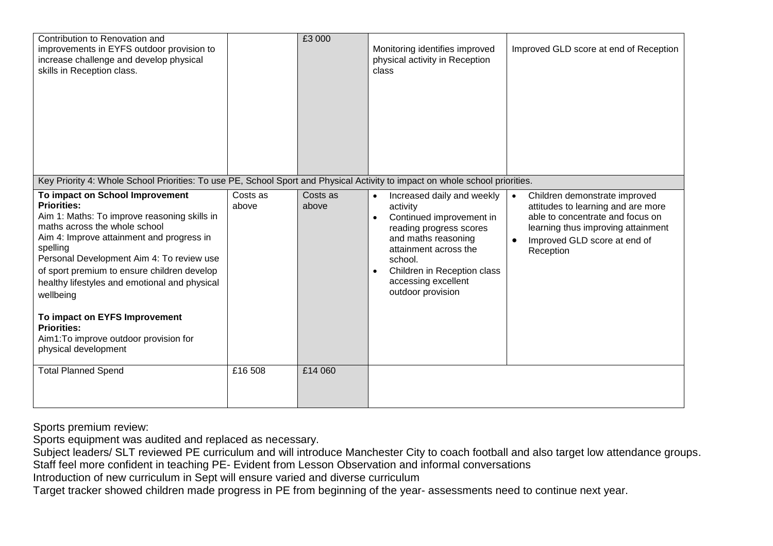| Contribution to Renovation and<br>improvements in EYFS outdoor provision to<br>increase challenge and develop physical<br>skills in Reception class.                                                                                                                                                                                                                                                                                                                                                                                                                                                               |                   | £3 000            | Monitoring identifies improved<br>physical activity in Reception<br>class                                                                                                                                                                                     | Improved GLD score at end of Reception                                                                                                                                                                  |
|--------------------------------------------------------------------------------------------------------------------------------------------------------------------------------------------------------------------------------------------------------------------------------------------------------------------------------------------------------------------------------------------------------------------------------------------------------------------------------------------------------------------------------------------------------------------------------------------------------------------|-------------------|-------------------|---------------------------------------------------------------------------------------------------------------------------------------------------------------------------------------------------------------------------------------------------------------|---------------------------------------------------------------------------------------------------------------------------------------------------------------------------------------------------------|
| Key Priority 4: Whole School Priorities: To use PE, School Sport and Physical Activity to impact on whole school priorities.<br>To impact on School Improvement<br><b>Priorities:</b><br>Aim 1: Maths: To improve reasoning skills in<br>maths across the whole school<br>Aim 4: Improve attainment and progress in<br>spelling<br>Personal Development Aim 4: To review use<br>of sport premium to ensure children develop<br>healthy lifestyles and emotional and physical<br>wellbeing<br>To impact on EYFS Improvement<br><b>Priorities:</b><br>Aim1: To improve outdoor provision for<br>physical development | Costs as<br>above | Costs as<br>above | Increased daily and weekly<br>$\bullet$<br>activity<br>Continued improvement in<br>reading progress scores<br>and maths reasoning<br>attainment across the<br>school.<br>Children in Reception class<br>$\bullet$<br>accessing excellent<br>outdoor provision | Children demonstrate improved<br>$\bullet$<br>attitudes to learning and are more<br>able to concentrate and focus on<br>learning thus improving attainment<br>Improved GLD score at end of<br>Reception |
| <b>Total Planned Spend</b>                                                                                                                                                                                                                                                                                                                                                                                                                                                                                                                                                                                         | £16 508           | £14 060           |                                                                                                                                                                                                                                                               |                                                                                                                                                                                                         |

Sports premium review:

Sports equipment was audited and replaced as necessary.

Subject leaders/ SLT reviewed PE curriculum and will introduce Manchester City to coach football and also target low attendance groups. Staff feel more confident in teaching PE- Evident from Lesson Observation and informal conversations

Introduction of new curriculum in Sept will ensure varied and diverse curriculum

Target tracker showed children made progress in PE from beginning of the year- assessments need to continue next year.